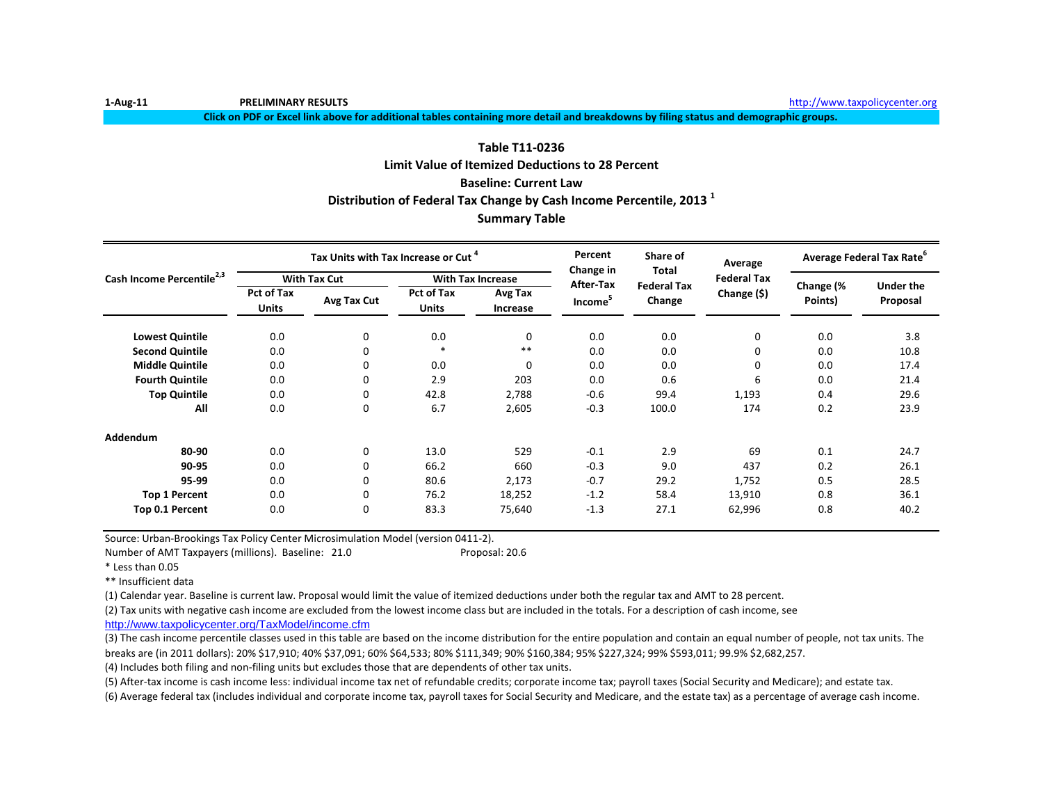**Click on PDF or Excel link above for additional tables containing more detail and breakdowns by filing status and demographic groups.**

### **Table T11-0236 Limit Value of Itemized Deductions to 28 Percent Baseline: Current Law Distribution of Federal Tax Change by Cash Income Percentile, 2013 <sup>1</sup>**

### **Summary Table**

|                                       |                                   | Tax Units with Tax Increase or Cut <sup>4</sup> |                                   |                            | Percent<br>Change in | Share of                    | Average            |           | Average Federal Tax Rate <sup>o</sup> |
|---------------------------------------|-----------------------------------|-------------------------------------------------|-----------------------------------|----------------------------|----------------------|-----------------------------|--------------------|-----------|---------------------------------------|
| Cash Income Percentile <sup>2,3</sup> |                                   | <b>With Tax Cut</b>                             |                                   | <b>With Tax Increase</b>   | After-Tax            | Total<br><b>Federal Tax</b> | <b>Federal Tax</b> | Change (% | Under the                             |
|                                       | <b>Pct of Tax</b><br><b>Units</b> | Avg Tax Cut                                     | <b>Pct of Tax</b><br><b>Units</b> | Avg Tax<br><b>Increase</b> | Income <sup>5</sup>  | Change                      | Change (\$)        | Points)   | Proposal                              |
| <b>Lowest Quintile</b>                | 0.0                               | 0                                               | 0.0                               | 0                          | 0.0                  | 0.0                         | 0                  | 0.0       | 3.8                                   |
| <b>Second Quintile</b>                | 0.0                               | 0                                               | $\ast$                            | $***$                      | 0.0                  | 0.0                         | 0                  | 0.0       | 10.8                                  |
| <b>Middle Quintile</b>                | 0.0                               | $\Omega$                                        | 0.0                               | 0                          | 0.0                  | 0.0                         | 0                  | 0.0       | 17.4                                  |
| <b>Fourth Quintile</b>                | 0.0                               | 0                                               | 2.9                               | 203                        | 0.0                  | 0.6                         | 6                  | 0.0       | 21.4                                  |
| <b>Top Quintile</b>                   | 0.0                               | $\Omega$                                        | 42.8                              | 2,788                      | $-0.6$               | 99.4                        | 1,193              | 0.4       | 29.6                                  |
| All                                   | 0.0                               | 0                                               | 6.7                               | 2,605                      | $-0.3$               | 100.0                       | 174                | 0.2       | 23.9                                  |
| Addendum                              |                                   |                                                 |                                   |                            |                      |                             |                    |           |                                       |
| 80-90                                 | 0.0                               | $\mathbf 0$                                     | 13.0                              | 529                        | $-0.1$               | 2.9                         | 69                 | 0.1       | 24.7                                  |
| 90-95                                 | 0.0                               | 0                                               | 66.2                              | 660                        | $-0.3$               | 9.0                         | 437                | 0.2       | 26.1                                  |
| 95-99                                 | 0.0                               | $\Omega$                                        | 80.6                              | 2,173                      | $-0.7$               | 29.2                        | 1,752              | 0.5       | 28.5                                  |
| <b>Top 1 Percent</b>                  | 0.0                               | 0                                               | 76.2                              | 18,252                     | $-1.2$               | 58.4                        | 13,910             | 0.8       | 36.1                                  |
| Top 0.1 Percent                       | 0.0                               | 0                                               | 83.3                              | 75,640                     | $-1.3$               | 27.1                        | 62,996             | 0.8       | 40.2                                  |

Source: Urban-Brookings Tax Policy Center Microsimulation Model (version 0411-2).

Number of AMT Taxpayers (millions). Baseline: 21.0 Proposal: 20.6

\*\* Insufficient data

(1) Calendar year. Baseline is current law. Proposal would limit the value of itemized deductions under both the regular tax and AMT to 28 percent.

(2) Tax units with negative cash income are excluded from the lowest income class but are included in the totals. For a description of cash income, see

[http://www.taxpolicycente](http://www.taxpolicycenter.org/TaxModel/income.cfm)r.org/TaxModel/income.cfm

(3) The cash income percentile classes used in this table are based on the income distribution for the entire population and contain an equal number of people, not tax units. The breaks are (in 2011 dollars): 20% \$17,910; 40% \$37,091; 60% \$64,533; 80% \$111,349; 90% \$160,384; 95% \$227,324; 99% \$593,011; 99.9% \$2,682,257.

(4) Includes both filing and non-filing units but excludes those that are dependents of other tax units.

(5) After-tax income is cash income less: individual income tax net of refundable credits; corporate income tax; payroll taxes (Social Security and Medicare); and estate tax.

(6) Average federal tax (includes individual and corporate income tax, payroll taxes for Social Security and Medicare, and the estate tax) as a percentage of average cash income.

<sup>\*</sup> Less than 0.05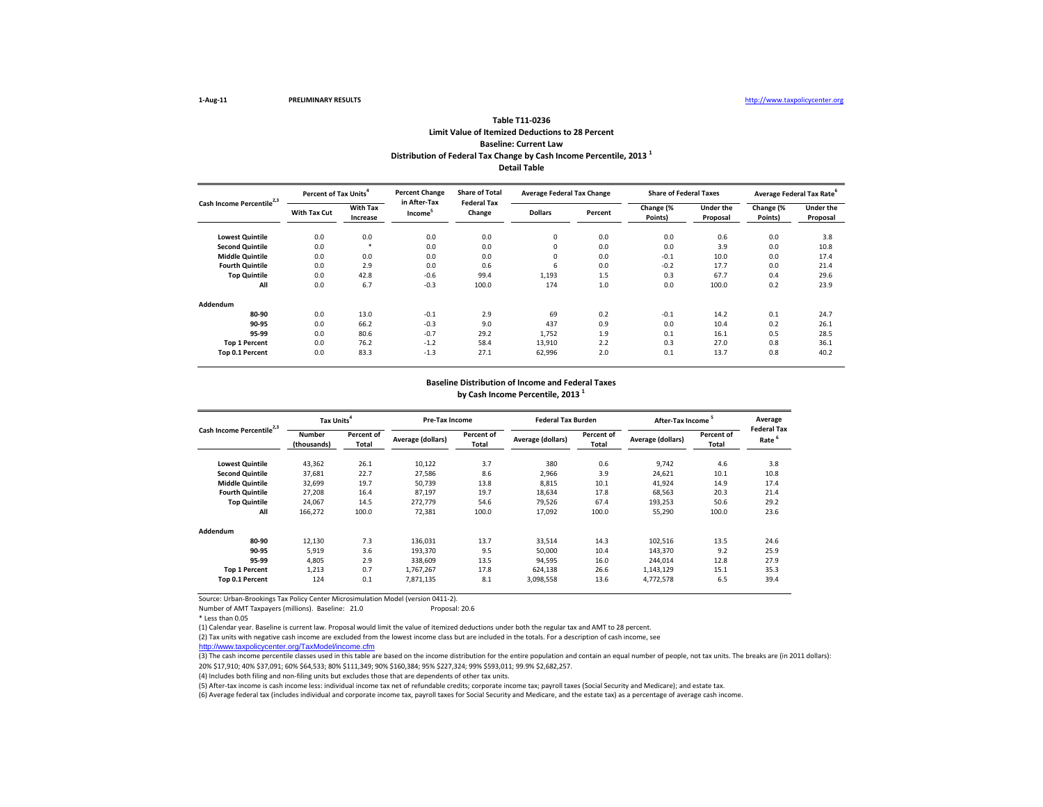(3) The cash income percentile classes used in this table are based on the income distribution for the entire population and contain an equal number of people, not tax units. The breaks are (in 2011 dollars): 20% \$17,910; 40% \$37,091; 60% \$64,533; 80% \$111,349; 90% \$160,384; 95% \$227,324; 99% \$593,011; 99.9% \$2,682,257.

Source: Urban-Brookings Tax Policy Center Microsimulation Model (version 0411-2).

Number of AMT Taxpayers (millions). Baseline: 21.0 Proposal: 20.6

\* Less than 0.05

|                                       | <b>Percent of Tax Units<sup>4</sup></b> |                             | <b>Percent Change</b>               | <b>Share of Total</b>        | <b>Average Federal Tax Change</b> |         | <b>Share of Federal Taxes</b> |                              |                      | Average Federal Tax Rate <sup>b</sup> |
|---------------------------------------|-----------------------------------------|-----------------------------|-------------------------------------|------------------------------|-----------------------------------|---------|-------------------------------|------------------------------|----------------------|---------------------------------------|
| Cash Income Percentile <sup>2,3</sup> | <b>With Tax Cut</b>                     | <b>With Tax</b><br>Increase | in After-Tax<br>Income <sup>5</sup> | <b>Federal Tax</b><br>Change | <b>Dollars</b>                    | Percent | Change (%<br>Points)          | <b>Under the</b><br>Proposal | Change (%<br>Points) | <b>Under the</b><br>Proposal          |
| <b>Lowest Quintile</b>                | 0.0                                     | 0.0                         | 0.0                                 | 0.0                          | 0                                 | 0.0     | 0.0                           | 0.6                          | 0.0                  | 3.8                                   |
| <b>Second Quintile</b>                | 0.0                                     | $\ast$                      | 0.0                                 | 0.0                          | 0                                 | 0.0     | 0.0                           | 3.9                          | 0.0                  | 10.8                                  |
| <b>Middle Quintile</b>                | 0.0                                     | 0.0                         | 0.0                                 | 0.0                          | 0                                 | 0.0     | $-0.1$                        | 10.0                         | 0.0                  | 17.4                                  |
| <b>Fourth Quintile</b>                | 0.0                                     | 2.9                         | 0.0                                 | 0.6                          | 6                                 | 0.0     | $-0.2$                        | 17.7                         | 0.0                  | 21.4                                  |
| <b>Top Quintile</b>                   | 0.0                                     | 42.8                        | $-0.6$                              | 99.4                         | 1,193                             | 1.5     | 0.3                           | 67.7                         | 0.4                  | 29.6                                  |
| All                                   | 0.0                                     | 6.7                         | $-0.3$                              | 100.0                        | 174                               | 1.0     | 0.0                           | 100.0                        | 0.2                  | 23.9                                  |
| Addendum                              |                                         |                             |                                     |                              |                                   |         |                               |                              |                      |                                       |
| 80-90                                 | 0.0                                     | 13.0                        | $-0.1$                              | 2.9                          | 69                                | 0.2     | $-0.1$                        | 14.2                         | 0.1                  | 24.7                                  |
| 90-95                                 | 0.0                                     | 66.2                        | $-0.3$                              | 9.0                          | 437                               | 0.9     | 0.0                           | 10.4                         | 0.2                  | 26.1                                  |
| 95-99                                 | 0.0                                     | 80.6                        | $-0.7$                              | 29.2                         | 1,752                             | 1.9     | 0.1                           | 16.1                         | 0.5                  | 28.5                                  |
| <b>Top 1 Percent</b>                  | 0.0                                     | 76.2                        | $-1.2$                              | 58.4                         | 13,910                            | 2.2     | 0.3                           | 27.0                         | 0.8                  | 36.1                                  |
| Top 0.1 Percent                       | 0.0                                     | 83.3                        | $-1.3$                              | 27.1                         | 62,996                            | 2.0     | 0.1                           | 13.7                         | 0.8                  | 40.2                                  |

(4) Includes both filing and non-filing units but excludes those that are dependents of other tax units.

(5) After-tax income is cash income less: individual income tax net of refundable credits; corporate income tax; payroll taxes (Social Security and Medicare); and estate tax. (6) Average federal tax (includes individual and corporate income tax, payroll taxes for Social Security and Medicare, and the estate tax) as a percentage of average cash income.

|                                       | Tax Units <sup>4</sup>       |                     | Pre-Tax Income    |                            | <b>Federal Tax Burden</b> |                     | After-Tax Income <sup>5</sup> |                            | Averag                   |
|---------------------------------------|------------------------------|---------------------|-------------------|----------------------------|---------------------------|---------------------|-------------------------------|----------------------------|--------------------------|
| Cash Income Percentile <sup>2,3</sup> | <b>Number</b><br>(thousands) | Percent of<br>Total | Average (dollars) | Percent of<br><b>Total</b> | <b>Average (dollars)</b>  | Percent of<br>Total | <b>Average (dollars)</b>      | Percent of<br><b>Total</b> | <b>Federal</b> 1<br>Rate |
| <b>Lowest Quintile</b>                | 43,362                       | 26.1                | 10,122            | 3.7                        | 380                       | 0.6                 | 9,742                         | 4.6                        | 3.8                      |
| <b>Second Quintile</b>                | 37,681                       | 22.7                | 27,586            | 8.6                        | 2,966                     | 3.9                 | 24,621                        | 10.1                       | 10.8                     |
| <b>Middle Quintile</b>                | 32,699                       | 19.7                | 50,739            | 13.8                       | 8,815                     | 10.1                | 41,924                        | 14.9                       | 17.4                     |
| <b>Fourth Quintile</b>                | 27,208                       | 16.4                | 87,197            | 19.7                       | 18,634                    | 17.8                | 68,563                        | 20.3                       | 21.4                     |
| <b>Top Quintile</b>                   | 24,067                       | 14.5                | 272,779           | 54.6                       | 79,526                    | 67.4                | 193,253                       | 50.6                       | 29.2                     |
| All                                   | 166,272                      | 100.0               | 72,381            | 100.0                      | 17,092                    | 100.0               | 55,290                        | 100.0                      | 23.6                     |
| Addendum                              |                              |                     |                   |                            |                           |                     |                               |                            |                          |
| 80-90                                 | 12,130                       | 7.3                 | 136,031           | 13.7                       | 33,514                    | 14.3                | 102,516                       | 13.5                       | 24.6                     |
| 90-95                                 | 5,919                        | 3.6                 | 193,370           | 9.5                        | 50,000                    | 10.4                | 143,370                       | 9.2                        | 25.9                     |
| 95-99                                 | 4,805                        | 2.9                 | 338,609           | 13.5                       | 94,595                    | 16.0                | 244,014                       | 12.8                       | 27.9                     |
| <b>Top 1 Percent</b>                  | 1,213                        | 0.7                 | 1,767,267         | 17.8                       | 624,138                   | 26.6                | 1,143,129                     | 15.1                       | 35.3                     |
| Top 0.1 Percent                       | 124                          | 0.1                 | 7,871,135         | 8.1                        | 3,098,558                 | 13.6                | 4,772,578                     | 6.5                        | 39.4                     |

(1) Calendar year. Baseline is current law. Proposal would limit the value of itemized deductions under both the regular tax and AMT to 28 percent. (2) Tax units with negative cash income are excluded from the lowest income class but are included in the totals. For a description of cash income, see

[http://www.taxpolicycente](http://www.taxpolicycenter.org/TaxModel/income.cfm)r.org/TaxModel/income.cfm

| 5<br>ncome | Average<br><b>Federal Tax</b> |
|------------|-------------------------------|
| Percent of |                               |
| Total      | Rate <sup>6</sup>             |
|            |                               |
| 4.6        | 3.8                           |
| 10.1       | 10.8                          |
| 14.9       | 17.4                          |
| 20.3       | 21.4                          |
| 50.6       | 29.2                          |
| 100.0      | 23.6                          |
|            |                               |
|            |                               |
| 13.5       | 24.6                          |
| 9.2        | 25.9                          |
| 12.8       | 27.9                          |
| 15.1       | 35.3                          |
| 6.5        | 39.4                          |
|            |                               |

**by Cash Income Percentile, 2013 <sup>1</sup>**

## **Baseline Distribution of Income and Federal Taxes**

### **Table T11-0236 Limit Value of Itemized Deductions to 28 Percent Baseline: Current Law Distribution of Federal Tax Change by Cash Income Percentile, 2013 <sup>1</sup> Detail Table**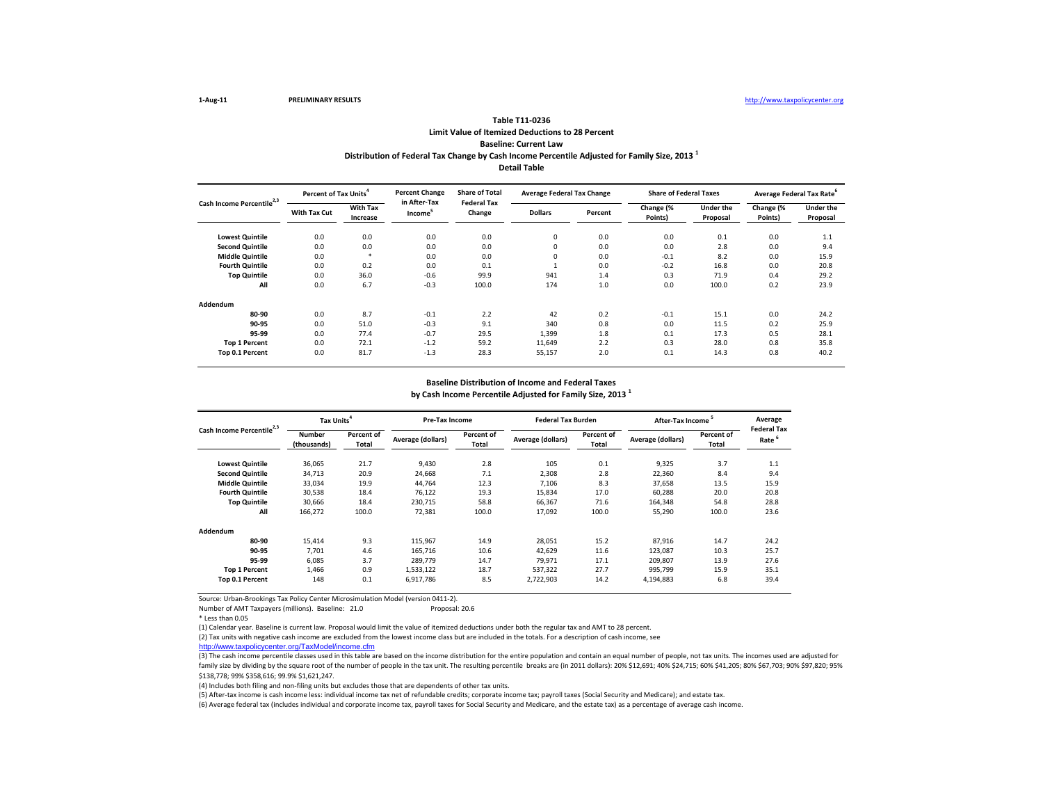Number of AMT Taxpayers (millions). Baseline: 21.0 Proposal: 20.6

\* Less than 0.05

(3) The cash income percentile classes used in this table are based on the income distribution for the entire population and contain an equal number of people, not tax units. The incomes used are adjusted for family size by dividing by the square root of the number of people in the tax unit. The resulting percentile breaks are (in 2011 dollars): 20% \$12,691; 40% \$24,715; 60% \$41,205; 80% \$67,703; 90% \$97,820; 95% \$138,778; 99% \$358,616; 99.9% \$1,621,247.

**Lowest Quintile**  $\hspace{1cm} 0.0 \hspace{1cm} 0.0 \hspace{3cm} 0.0 \hspace{3cm} 0.0 \hspace{1cm} 0.0 \hspace{3cm} 0.1 \hspace{1cm} 0.0 \hspace{1cm} 1.1 \hspace{1.0cm} 1.1 \hspace{1.0cm} 0.0 \hspace{3cm} 1.1 \hspace{1.0cm} 1.1 \hspace{1.0cm} 1.1 \hspace{1.0cm} 1.1 \hspace{1.0cm} 1.1 \hspace{1.0cm} 1.1 \hspace{1.0cm} 1.1$ **Second Quintile** 0.0 0.0 0.0 0.0 0 0.0 0.0 2.8 0.0 9.4 **Middle Quintile** 0.0 \* 0.0 0.0 0 0.0 -0.1 8.2 0.0 15.9 **Fourth Quintile** 0.0 0.2 0.0 0.1 1 0.0 -0.2 16.8 0.0 20.8 **Top Quintile** 0.0 36.0 -0.6 99.9 941 1.4 0.3 71.9 0.4 29.2 **All** 0.0 6.7 -0.3 100.0 174 1.0 0.0 100.0 0.2 23.9 **Addendum 80-90** 0.0 8.7 -0.1 2.2 42 0.2 -0.1 15.1 0.0 24.2 **90-95** 0.0 51.0 -0.3 9.1 340 0.8 0.0 11.5 0.2 25.9 **95-99** 0.0 77.4 -0.7 29.5 1,399 1.8 0.1 17.3 0.5 28.1 **Top 1 Percent** 0.0 72.1 -1.2 59.2 11,649 2.2 0.3 28.0 0.8 35.8 **Top 0.1 Percent** 0.0 81.7 -1.3 28.3 55,157 2.0 0.1 14.3 0.8 40.2 **Dollars Percent Change (% Points) Cash Income Percentile2,3 Percent of Tax Units<sup>4</sup> With Tax Cut With Tax Increase Percent Change in After-Tax Income<sup>5</sup> Share of Total Federal Tax Change Average Federal Tax Change Share of Federal Taxes**

|                                       | Tax Units <sup>4</sup>       |                            | <b>Pre-Tax Income</b> |                     | <b>Federal Tax Burden</b> |                     | After-Tax Income  |                            | Average<br><b>Federal Tax</b> |
|---------------------------------------|------------------------------|----------------------------|-----------------------|---------------------|---------------------------|---------------------|-------------------|----------------------------|-------------------------------|
| Cash Income Percentile <sup>2,3</sup> | <b>Number</b><br>(thousands) | Percent of<br><b>Total</b> | Average (dollars)     | Percent of<br>Total | <b>Average (dollars)</b>  | Percent of<br>Total | Average (dollars) | Percent of<br><b>Total</b> | Rate <sup>6</sup>             |
| <b>Lowest Quintile</b>                | 36,065                       | 21.7                       | 9,430                 | 2.8                 | 105                       | 0.1                 | 9,325             | 3.7                        | 1.1                           |
| <b>Second Quintile</b>                | 34,713                       | 20.9                       | 24,668                | 7.1                 | 2,308                     | 2.8                 | 22,360            | 8.4                        | 9.4                           |
| <b>Middle Quintile</b>                | 33,034                       | 19.9                       | 44,764                | 12.3                | 7,106                     | 8.3                 | 37,658            | 13.5                       | 15.9                          |
| <b>Fourth Quintile</b>                | 30,538                       | 18.4                       | 76,122                | 19.3                | 15,834                    | 17.0                | 60,288            | 20.0                       | 20.8                          |
| <b>Top Quintile</b>                   | 30,666                       | 18.4                       | 230,715               | 58.8                | 66,367                    | 71.6                | 164,348           | 54.8                       | 28.8                          |
| All                                   | 166,272                      | 100.0                      | 72,381                | 100.0               | 17,092                    | 100.0               | 55,290            | 100.0                      | 23.6                          |
| Addendum                              |                              |                            |                       |                     |                           |                     |                   |                            |                               |
| 80-90                                 | 15,414                       | 9.3                        | 115,967               | 14.9                | 28,051                    | 15.2                | 87,916            | 14.7                       | 24.2                          |
| 90-95                                 | 7,701                        | 4.6                        | 165,716               | 10.6                | 42,629                    | 11.6                | 123,087           | 10.3                       | 25.7                          |
| 95-99                                 | 6,085                        | 3.7                        | 289,779               | 14.7                | 79,971                    | 17.1                | 209,807           | 13.9                       | 27.6                          |
| <b>Top 1 Percent</b>                  | 1,466                        | 0.9                        | 1,533,122             | 18.7                | 537,322                   | 27.7                | 995,799           | 15.9                       | 35.1                          |
| Top 0.1 Percent                       | 148                          | 0.1                        | 6,917,786             | 8.5                 | 2,722,903                 | 14.2                | 4,194,883         | 6.8                        | 39.4                          |

(4) Includes both filing and non-filing units but excludes those that are dependents of other tax units.

(5) After-tax income is cash income less: individual income tax net of refundable credits; corporate income tax; payroll taxes (Social Security and Medicare); and estate tax. (6) Average federal tax (includes individual and corporate income tax, payroll taxes for Social Security and Medicare, and the estate tax) as a percentage of average cash income.

(1) Calendar year. Baseline is current law. Proposal would limit the value of itemized deductions under both the regular tax and AMT to 28 percent. (2) Tax units with negative cash income are excluded from the lowest income class but are included in the totals. For a description of cash income, see

[http://www.taxpolicycente](http://www.taxpolicycenter.org/TaxModel/income.cfm)r.org/TaxModel/income.cfm

### **by Cash Income Percentile Adjusted for Family Size, 2013 <sup>1</sup> Baseline Distribution of Income and Federal Taxes**

| eral Taxes       |           | Average Federal Tax Rate <sup>6</sup> |
|------------------|-----------|---------------------------------------|
| <b>Under the</b> | Change (% | <b>Under the</b>                      |
| <b>Proposal</b>  | Points)   | Proposal                              |
|                  |           |                                       |
| 0.1              | 0.0       | 1.1                                   |
| 2.8              | 0.0       | 9.4                                   |
| 8.2              | 0.0       | 15.9                                  |
| 16.8             | 0.0       | 20.8                                  |
| 71.9             | 0.4       | 29.2                                  |
| 100.0            | 0.2       | 23.9                                  |
|                  |           |                                       |
|                  |           |                                       |
| 15.1             | 0.0       | 24.2                                  |
| 11.5             | 0.2       | 25.9                                  |
| 17.3             | 0.5       | 28.1                                  |
| 28.0             | 0.8       | 35.8                                  |
| 14.3             | 0.8       | 40.2                                  |
|                  |           |                                       |

### **Table T11-0236 Limit Value of Itemized Deductions to 28 Percent Baseline: Current Law Distribution of Federal Tax Change by Cash Income Percentile Adjusted for Family Size, 2013 <sup>1</sup> Detail Table**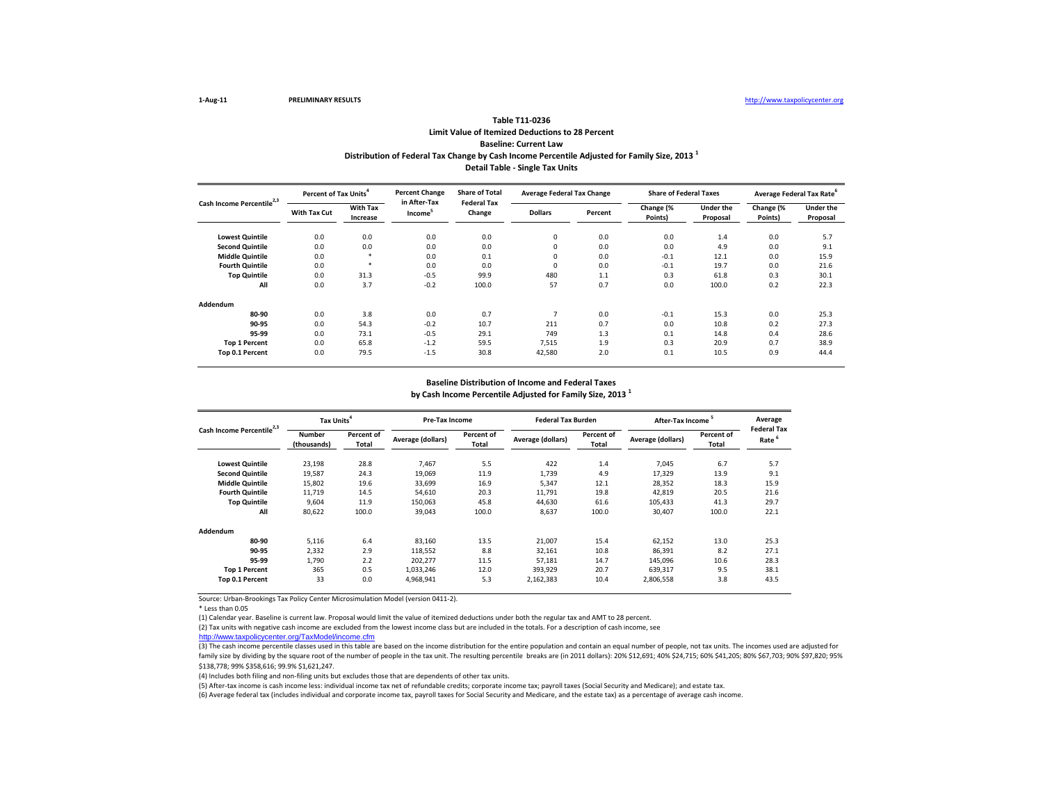\* Less than 0.05

(4) Includes both filing and non-filing units but excludes those that are dependents of other tax units.

(5) After-tax income is cash income less: individual income tax net of refundable credits; corporate income tax; payroll taxes (Social Security and Medicare); and estate tax. (6) Average federal tax (includes individual and corporate income tax, payroll taxes for Social Security and Medicare, and the estate tax) as a percentage of average cash income.

|                                       | Tax Units <sup>4</sup>       |                            | <b>Pre-Tax Income</b> |                            | <b>Federal Tax Burden</b> |                     | After-Tax Income <sup>5</sup> |                            | Average<br><b>Federal Tax</b> |
|---------------------------------------|------------------------------|----------------------------|-----------------------|----------------------------|---------------------------|---------------------|-------------------------------|----------------------------|-------------------------------|
| Cash Income Percentile <sup>2,3</sup> | <b>Number</b><br>(thousands) | Percent of<br><b>Total</b> | Average (dollars)     | <b>Percent of</b><br>Total | <b>Average (dollars)</b>  | Percent of<br>Total | Average (dollars)             | Percent of<br><b>Total</b> | Rate <sup>6</sup>             |
| <b>Lowest Quintile</b>                | 23,198                       | 28.8                       | 7,467                 | 5.5                        | 422                       | 1.4                 | 7,045                         | 6.7                        | 5.7                           |
| <b>Second Quintile</b>                | 19,587                       | 24.3                       | 19,069                | 11.9                       | 1,739                     | 4.9                 | 17,329                        | 13.9                       | 9.1                           |
| <b>Middle Quintile</b>                | 15,802                       | 19.6                       | 33,699                | 16.9                       | 5,347                     | 12.1                | 28,352                        | 18.3                       | 15.9                          |
| <b>Fourth Quintile</b>                | 11,719                       | 14.5                       | 54,610                | 20.3                       | 11,791                    | 19.8                | 42,819                        | 20.5                       | 21.6                          |
| <b>Top Quintile</b>                   | 9,604                        | 11.9                       | 150,063               | 45.8                       | 44,630                    | 61.6                | 105,433                       | 41.3                       | 29.7                          |
| All                                   | 80,622                       | 100.0                      | 39,043                | 100.0                      | 8,637                     | 100.0               | 30,407                        | 100.0                      | 22.1                          |
| <b>Addendum</b>                       |                              |                            |                       |                            |                           |                     |                               |                            |                               |
| 80-90                                 | 5,116                        | 6.4                        | 83,160                | 13.5                       | 21,007                    | 15.4                | 62,152                        | 13.0                       | 25.3                          |
| 90-95                                 | 2,332                        | 2.9                        | 118,552               | 8.8                        | 32,161                    | 10.8                | 86,391                        | 8.2                        | 27.1                          |
| 95-99                                 | 1,790                        | 2.2                        | 202,277               | 11.5                       | 57,181                    | 14.7                | 145,096                       | 10.6                       | 28.3                          |
| <b>Top 1 Percent</b>                  | 365                          | 0.5                        | 1,033,246             | 12.0                       | 393,929                   | 20.7                | 639,317                       | 9.5                        | 38.1                          |
| Top 0.1 Percent                       | 33                           | 0.0                        | 4,968,941             | 5.3                        | 2,162,383                 | 10.4                | 2,806,558                     | 3.8                        | 43.5                          |

|                                       | <b>Percent of Tax Units<sup>4</sup></b> |                             | <b>Percent Change</b>               | <b>Share of Total</b>        | <b>Average Federal Tax Change</b> |         | <b>Share of Federal Taxes</b> |                       |                      | Average Federal Tax Rate <sup>o</sup> |
|---------------------------------------|-----------------------------------------|-----------------------------|-------------------------------------|------------------------------|-----------------------------------|---------|-------------------------------|-----------------------|----------------------|---------------------------------------|
| Cash Income Percentile <sup>2,3</sup> | <b>With Tax Cut</b>                     | <b>With Tax</b><br>Increase | in After-Tax<br>Income <sup>5</sup> | <b>Federal Tax</b><br>Change | <b>Dollars</b>                    | Percent | Change (%<br>Points)          | Under the<br>Proposal | Change (%<br>Points) | Under the<br>Proposal                 |
| <b>Lowest Quintile</b>                | 0.0                                     | 0.0                         | 0.0                                 | 0.0                          | 0                                 | 0.0     | 0.0                           | 1.4                   | 0.0                  | 5.7                                   |
| <b>Second Quintile</b>                | 0.0                                     | 0.0                         | 0.0                                 | 0.0                          | 0                                 | 0.0     | 0.0                           | 4.9                   | 0.0                  | 9.1                                   |
| <b>Middle Quintile</b>                | 0.0                                     |                             | 0.0                                 | 0.1                          | 0                                 | 0.0     | $-0.1$                        | 12.1                  | 0.0                  | 15.9                                  |
| <b>Fourth Quintile</b>                | 0.0                                     |                             | 0.0                                 | 0.0                          | 0                                 | 0.0     | $-0.1$                        | 19.7                  | 0.0                  | 21.6                                  |
| <b>Top Quintile</b>                   | 0.0                                     | 31.3                        | $-0.5$                              | 99.9                         | 480                               | 1.1     | 0.3                           | 61.8                  | 0.3                  | 30.1                                  |
| All                                   | 0.0                                     | 3.7                         | $-0.2$                              | 100.0                        | 57                                | 0.7     | 0.0                           | 100.0                 | 0.2                  | 22.3                                  |
| Addendum                              |                                         |                             |                                     |                              |                                   |         |                               |                       |                      |                                       |
| 80-90                                 | 0.0                                     | 3.8                         | 0.0                                 | 0.7                          |                                   | 0.0     | $-0.1$                        | 15.3                  | 0.0                  | 25.3                                  |
| 90-95                                 | 0.0                                     | 54.3                        | $-0.2$                              | 10.7                         | 211                               | 0.7     | 0.0                           | 10.8                  | 0.2                  | 27.3                                  |
| 95-99                                 | 0.0                                     | 73.1                        | $-0.5$                              | 29.1                         | 749                               | 1.3     | 0.1                           | 14.8                  | 0.4                  | 28.6                                  |
| <b>Top 1 Percent</b>                  | 0.0                                     | 65.8                        | $-1.2$                              | 59.5                         | 7,515                             | 1.9     | 0.3                           | 20.9                  | 0.7                  | 38.9                                  |
| Top 0.1 Percent                       | 0.0                                     | 79.5                        | $-1.5$                              | 30.8                         | 42,580                            | 2.0     | 0.1                           | 10.5                  | 0.9                  | 44.4                                  |

(1) Calendar year. Baseline is current law. Proposal would limit the value of itemized deductions under both the regular tax and AMT to 28 percent.

(2) Tax units with negative cash income are excluded from the lowest income class but are included in the totals. For a description of cash income, see [http://www.taxpolicycente](http://www.taxpolicycenter.org/TaxModel/income.cfm)r.org/TaxModel/income.cfm

(3) The cash income percentile classes used in this table are based on the income distribution for the entire population and contain an equal number of people, not tax units. The incomes used are adjusted for family size by dividing by the square root of the number of people in the tax unit. The resulting percentile breaks are (in 2011 dollars): 20% \$12,691; 40% \$24,715; 60% \$41,205; 80% \$67,703; 90% \$97,820; 95% \$138,778; 99% \$358,616; 99.9% \$1,621,247.

### **by Cash Income Percentile Adjusted for Family Size, 2013 <sup>1</sup> Baseline Distribution of Income and Federal Taxes**

### **Table T11-0236 Limit Value of Itemized Deductions to 28 Percent Baseline: Current Law Distribution of Federal Tax Change by Cash Income Percentile Adjusted for Family Size, 2013 <sup>1</sup> Detail Table - Single Tax Units**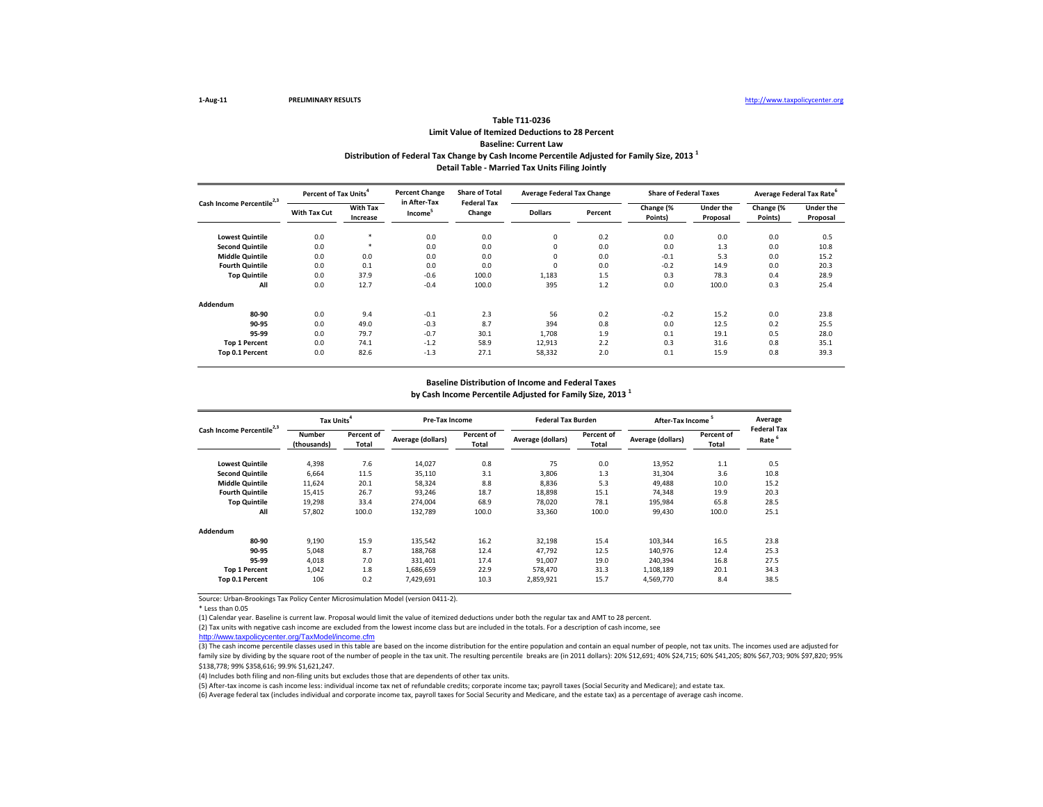\* Less than 0.05

(4) Includes both filing and non-filing units but excludes those that are dependents of other tax units.

(5) After-tax income is cash income less: individual income tax net of refundable credits; corporate income tax; payroll taxes (Social Security and Medicare); and estate tax. (6) Average federal tax (includes individual and corporate income tax, payroll taxes for Social Security and Medicare, and the estate tax) as a percentage of average cash income.

|                                       | <b>Percent of Tax Units<sup>4</sup></b> |                             | <b>Percent Change</b>               | <b>Share of Total</b>        | <b>Average Federal Tax Change</b> |         | <b>Share of Federal Taxes</b> |                              |                      | Average Federal Tax Rate <sup>o</sup> |
|---------------------------------------|-----------------------------------------|-----------------------------|-------------------------------------|------------------------------|-----------------------------------|---------|-------------------------------|------------------------------|----------------------|---------------------------------------|
| Cash Income Percentile <sup>2,3</sup> | <b>With Tax Cut</b>                     | <b>With Tax</b><br>Increase | in After-Tax<br>Income <sup>5</sup> | <b>Federal Tax</b><br>Change | <b>Dollars</b>                    | Percent | Change (%<br>Points)          | <b>Under the</b><br>Proposal | Change (%<br>Points) | <b>Under the</b><br>Proposal          |
| <b>Lowest Quintile</b>                | 0.0                                     | $\ast$                      | 0.0                                 | 0.0                          | 0                                 | 0.2     | 0.0                           | 0.0                          | 0.0                  | 0.5                                   |
| <b>Second Quintile</b>                | 0.0                                     | $\ast$                      | 0.0                                 | 0.0                          | 0                                 | 0.0     | 0.0                           | 1.3                          | 0.0                  | 10.8                                  |
| <b>Middle Quintile</b>                | 0.0                                     | 0.0                         | 0.0                                 | 0.0                          | 0                                 | 0.0     | $-0.1$                        | 5.3                          | 0.0                  | 15.2                                  |
| <b>Fourth Quintile</b>                | 0.0                                     | 0.1                         | 0.0                                 | 0.0                          | 0                                 | 0.0     | $-0.2$                        | 14.9                         | 0.0                  | 20.3                                  |
| <b>Top Quintile</b>                   | 0.0                                     | 37.9                        | $-0.6$                              | 100.0                        | 1,183                             | 1.5     | 0.3                           | 78.3                         | 0.4                  | 28.9                                  |
| All                                   | 0.0                                     | 12.7                        | $-0.4$                              | 100.0                        | 395                               | 1.2     | 0.0                           | 100.0                        | 0.3                  | 25.4                                  |
| Addendum                              |                                         |                             |                                     |                              |                                   |         |                               |                              |                      |                                       |
| 80-90                                 | 0.0                                     | 9.4                         | $-0.1$                              | 2.3                          | 56                                | 0.2     | $-0.2$                        | 15.2                         | 0.0                  | 23.8                                  |
| 90-95                                 | 0.0                                     | 49.0                        | $-0.3$                              | 8.7                          | 394                               | 0.8     | 0.0                           | 12.5                         | 0.2                  | 25.5                                  |
| 95-99                                 | 0.0                                     | 79.7                        | $-0.7$                              | 30.1                         | 1,708                             | 1.9     | 0.1                           | 19.1                         | 0.5                  | 28.0                                  |
| <b>Top 1 Percent</b>                  | 0.0                                     | 74.1                        | $-1.2$                              | 58.9                         | 12,913                            | 2.2     | 0.3                           | 31.6                         | 0.8                  | 35.1                                  |
| Top 0.1 Percent                       | 0.0                                     | 82.6                        | $-1.3$                              | 27.1                         | 58,332                            | 2.0     | 0.1                           | 15.9                         | 0.8                  | 39.3                                  |

(1) Calendar year. Baseline is current law. Proposal would limit the value of itemized deductions under both the regular tax and AMT to 28 percent.

|                                       | Tax Units <sup>4</sup>       |                            | Pre-Tax Income    |                     | <b>Federal Tax Burden</b> |                                   | After-Tax Income <sup>5</sup> |                            | Averag            |
|---------------------------------------|------------------------------|----------------------------|-------------------|---------------------|---------------------------|-----------------------------------|-------------------------------|----------------------------|-------------------|
| Cash Income Percentile <sup>2,3</sup> | <b>Number</b><br>(thousands) | Percent of<br><b>Total</b> | Average (dollars) | Percent of<br>Total | Average (dollars)         | <b>Percent of</b><br><b>Total</b> | <b>Average (dollars)</b>      | Percent of<br><b>Total</b> | Federal 1<br>Rate |
| <b>Lowest Quintile</b>                | 4,398                        | 7.6                        | 14,027            | 0.8                 | 75                        | 0.0                               | 13,952                        | 1.1                        | 0.5               |
| <b>Second Quintile</b>                | 6,664                        | 11.5                       | 35,110            | 3.1                 | 3,806                     | 1.3                               | 31,304                        | 3.6                        | 10.8              |
| <b>Middle Quintile</b>                | 11,624                       | 20.1                       | 58,324            | 8.8                 | 8,836                     | 5.3                               | 49,488                        | 10.0                       | 15.2              |
| <b>Fourth Quintile</b>                | 15,415                       | 26.7                       | 93,246            | 18.7                | 18,898                    | 15.1                              | 74,348                        | 19.9                       | 20.3              |
| <b>Top Quintile</b>                   | 19,298                       | 33.4                       | 274,004           | 68.9                | 78,020                    | 78.1                              | 195,984                       | 65.8                       | 28.5              |
| All                                   | 57,802                       | 100.0                      | 132,789           | 100.0               | 33,360                    | 100.0                             | 99,430                        | 100.0                      | 25.1              |
| <b>Addendum</b>                       |                              |                            |                   |                     |                           |                                   |                               |                            |                   |
| 80-90                                 | 9,190                        | 15.9                       | 135,542           | 16.2                | 32,198                    | 15.4                              | 103,344                       | 16.5                       | 23.8              |
| 90-95                                 | 5,048                        | 8.7                        | 188,768           | 12.4                | 47,792                    | 12.5                              | 140,976                       | 12.4                       | 25.3              |
| 95-99                                 | 4,018                        | 7.0                        | 331,401           | 17.4                | 91,007                    | 19.0                              | 240,394                       | 16.8                       | 27.5              |
| <b>Top 1 Percent</b>                  | 1,042                        | 1.8                        | 1,686,659         | 22.9                | 578,470                   | 31.3                              | 1,108,189                     | 20.1                       | 34.3              |
| <b>Top 0.1 Percent</b>                | 106                          | 0.2                        | 7,429,691         | 10.3                | 2,859,921                 | 15.7                              | 4,569,770                     | 8.4                        | 38.5              |

(2) Tax units with negative cash income are excluded from the lowest income class but are included in the totals. For a description of cash income, see [http://www.taxpolicycente](http://www.taxpolicycenter.org/TaxModel/income.cfm)r.org/TaxModel/income.cfm

(3) The cash income percentile classes used in this table are based on the income distribution for the entire population and contain an equal number of people, not tax units. The incomes used are adjusted for family size by dividing by the square root of the number of people in the tax unit. The resulting percentile breaks are (in 2011 dollars): 20% \$12,691; 40% \$24,715; 60% \$41,205; 80% \$67,703; 90% \$97,820; 95% \$138,778; 99% \$358,616; 99.9% \$1,621,247.

| 5<br>ncome          | Average<br><b>Federal Tax</b> |
|---------------------|-------------------------------|
| Percent of<br>Total | Rate <sup>6</sup>             |
| 1.1                 | 0.5                           |
| 3.6                 | 10.8                          |
| 10.0                | 15.2                          |
| 19.9                | 20.3                          |
| 65.8                | 28.5                          |
| 100.0               | 25.1                          |
|                     |                               |
| 16.5                | 23.8                          |
| 12.4                | 25.3                          |
| 16.8                | 27.5                          |
| 20.1                | 34.3                          |
| 8.4                 | 38.5                          |

### **by Cash Income Percentile Adjusted for Family Size, 2013 <sup>1</sup> Baseline Distribution of Income and Federal Taxes**

### **Table T11-0236 Limit Value of Itemized Deductions to 28 Percent**

# **Baseline: Current Law**

### **Distribution of Federal Tax Change by Cash Income Percentile Adjusted for Family Size, 2013 <sup>1</sup> Detail Table - Married Tax Units Filing Jointly**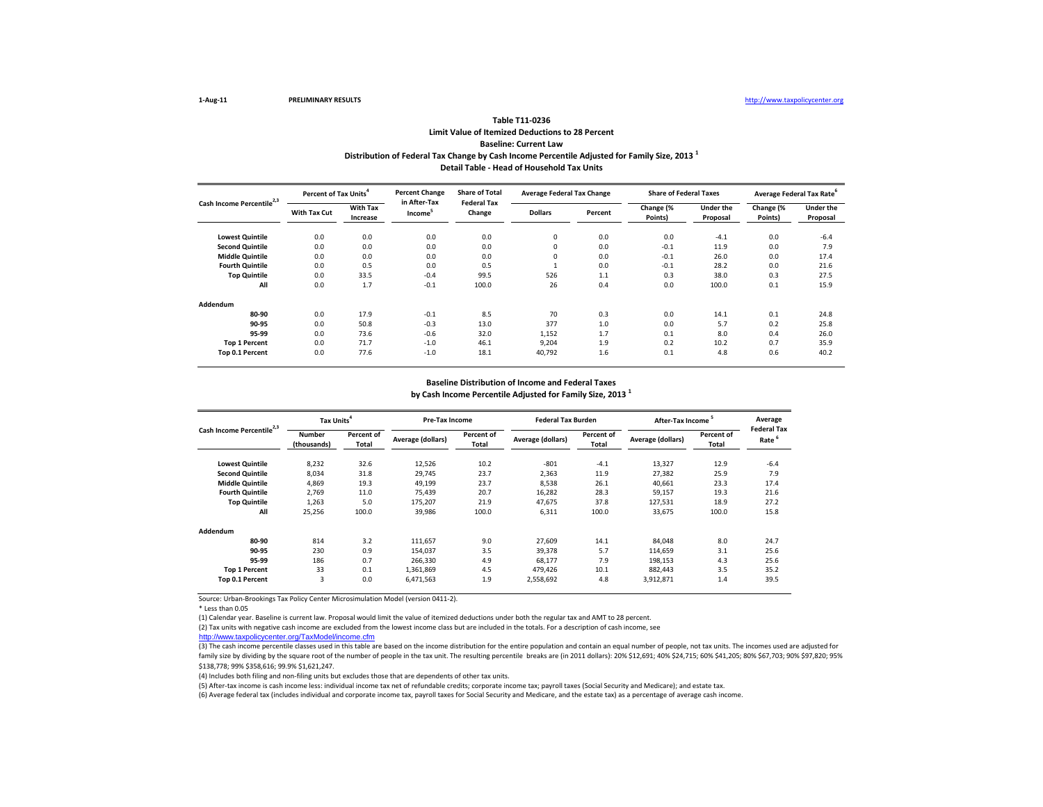\* Less than 0.05

(4) Includes both filing and non-filing units but excludes those that are dependents of other tax units.

(5) After-tax income is cash income less: individual income tax net of refundable credits; corporate income tax; payroll taxes (Social Security and Medicare); and estate tax. (6) Average federal tax (includes individual and corporate income tax, payroll taxes for Social Security and Medicare, and the estate tax) as a percentage of average cash income.

|                                       | Tax Units <sup>4</sup>       |                            | <b>Pre-Tax Income</b> |                     | <b>Federal Tax Burden</b> |                     | After-Tax Income <sup>5</sup> |                            | Average<br><b>Federal Tax</b> |
|---------------------------------------|------------------------------|----------------------------|-----------------------|---------------------|---------------------------|---------------------|-------------------------------|----------------------------|-------------------------------|
| Cash Income Percentile <sup>2,3</sup> | <b>Number</b><br>(thousands) | <b>Percent of</b><br>Total | Average (dollars)     | Percent of<br>Total | <b>Average (dollars)</b>  | Percent of<br>Total | <b>Average (dollars)</b>      | Percent of<br><b>Total</b> | Rate                          |
| <b>Lowest Quintile</b>                | 8,232                        | 32.6                       | 12,526                | 10.2                | $-801$                    | $-4.1$              | 13,327                        | 12.9                       | $-6.4$                        |
| <b>Second Quintile</b>                | 8,034                        | 31.8                       | 29,745                | 23.7                | 2,363                     | 11.9                | 27,382                        | 25.9                       | 7.9                           |
| <b>Middle Quintile</b>                | 4,869                        | 19.3                       | 49,199                | 23.7                | 8,538                     | 26.1                | 40,661                        | 23.3                       | 17.4                          |
| <b>Fourth Quintile</b>                | 2,769                        | 11.0                       | 75,439                | 20.7                | 16,282                    | 28.3                | 59,157                        | 19.3                       | 21.6                          |
| <b>Top Quintile</b>                   | 1,263                        | 5.0                        | 175,207               | 21.9                | 47,675                    | 37.8                | 127,531                       | 18.9                       | 27.2                          |
| All                                   | 25,256                       | 100.0                      | 39,986                | 100.0               | 6,311                     | 100.0               | 33,675                        | 100.0                      | 15.8                          |
| Addendum                              |                              |                            |                       |                     |                           |                     |                               |                            |                               |
| 80-90                                 | 814                          | 3.2                        | 111,657               | 9.0                 | 27,609                    | 14.1                | 84,048                        | 8.0                        | 24.7                          |
| 90-95                                 | 230                          | 0.9                        | 154,037               | 3.5                 | 39,378                    | 5.7                 | 114,659                       | 3.1                        | 25.6                          |
| 95-99                                 | 186                          | 0.7                        | 266,330               | 4.9                 | 68,177                    | 7.9                 | 198,153                       | 4.3                        | 25.6                          |
| <b>Top 1 Percent</b>                  | 33                           | 0.1                        | 1,361,869             | 4.5                 | 479,426                   | 10.1                | 882,443                       | 3.5                        | 35.2                          |
| Top 0.1 Percent                       | 3                            | 0.0                        | 6,471,563             | 1.9                 | 2,558,692                 | 4.8                 | 3,912,871                     | 1.4                        | 39.5                          |

|                                       | Percent of Tax Units <sup>4</sup> |                             | <b>Percent Change</b>               | <b>Share of Total</b>        | <b>Average Federal Tax Change</b> |         | <b>Share of Federal Taxes</b> |                              | Average Federal Tax Rate <sup>6</sup> |                              |
|---------------------------------------|-----------------------------------|-----------------------------|-------------------------------------|------------------------------|-----------------------------------|---------|-------------------------------|------------------------------|---------------------------------------|------------------------------|
| Cash Income Percentile <sup>2,3</sup> | <b>With Tax Cut</b>               | <b>With Tax</b><br>Increase | in After-Tax<br>Income <sup>5</sup> | <b>Federal Tax</b><br>Change | <b>Dollars</b>                    | Percent | Change (%<br>Points)          | <b>Under the</b><br>Proposal | Change (%<br>Points)                  | <b>Under the</b><br>Proposal |
| <b>Lowest Quintile</b>                | 0.0                               | 0.0                         | 0.0                                 | 0.0                          | 0                                 | 0.0     | 0.0                           | $-4.1$                       | 0.0                                   | $-6.4$                       |
| <b>Second Quintile</b>                | 0.0                               | 0.0                         | 0.0                                 | 0.0                          | $\Omega$                          | 0.0     | $-0.1$                        | 11.9                         | 0.0                                   | 7.9                          |
| <b>Middle Quintile</b>                | 0.0                               | 0.0                         | 0.0                                 | 0.0                          | 0                                 | 0.0     | $-0.1$                        | 26.0                         | 0.0                                   | 17.4                         |
| <b>Fourth Quintile</b>                | 0.0                               | 0.5                         | 0.0                                 | 0.5                          |                                   | 0.0     | $-0.1$                        | 28.2                         | 0.0                                   | 21.6                         |
| <b>Top Quintile</b>                   | 0.0                               | 33.5                        | $-0.4$                              | 99.5                         | 526                               | 1.1     | 0.3                           | 38.0                         | 0.3                                   | 27.5                         |
| All                                   | 0.0                               | 1.7                         | $-0.1$                              | 100.0                        | 26                                | 0.4     | 0.0                           | 100.0                        | 0.1                                   | 15.9                         |
| <b>Addendum</b>                       |                                   |                             |                                     |                              |                                   |         |                               |                              |                                       |                              |
| 80-90                                 | 0.0                               | 17.9                        | $-0.1$                              | 8.5                          | 70                                | 0.3     | 0.0                           | 14.1                         | 0.1                                   | 24.8                         |
| 90-95                                 | 0.0                               | 50.8                        | $-0.3$                              | 13.0                         | 377                               | 1.0     | 0.0                           | 5.7                          | 0.2                                   | 25.8                         |
| 95-99                                 | 0.0                               | 73.6                        | $-0.6$                              | 32.0                         | 1,152                             | 1.7     | 0.1                           | 8.0                          | 0.4                                   | 26.0                         |
| <b>Top 1 Percent</b>                  | 0.0                               | 71.7                        | $-1.0$                              | 46.1                         | 9,204                             | 1.9     | 0.2                           | 10.2                         | 0.7                                   | 35.9                         |
| Top 0.1 Percent                       | 0.0                               | 77.6                        | $-1.0$                              | 18.1                         | 40,792                            | 1.6     | 0.1                           | 4.8                          | 0.6                                   | 40.2                         |

(1) Calendar year. Baseline is current law. Proposal would limit the value of itemized deductions under both the regular tax and AMT to 28 percent.

(2) Tax units with negative cash income are excluded from the lowest income class but are included in the totals. For a description of cash income, see [http://www.taxpolicycente](http://www.taxpolicycenter.org/TaxModel/income.cfm)r.org/TaxModel/income.cfm

(3) The cash income percentile classes used in this table are based on the income distribution for the entire population and contain an equal number of people, not tax units. The incomes used are adjusted for family size by dividing by the square root of the number of people in the tax unit. The resulting percentile breaks are (in 2011 dollars): 20% \$12,691; 40% \$24,715; 60% \$41,205; 80% \$67,703; 90% \$97,820; 95% \$138,778; 99% \$358,616; 99.9% \$1,621,247.

### **by Cash Income Percentile Adjusted for Family Size, 2013 <sup>1</sup> Baseline Distribution of Income and Federal Taxes**

### **Table T11-0236 Limit Value of Itemized Deductions to 28 Percent**

## **Baseline: Current Law**

### **Distribution of Federal Tax Change by Cash Income Percentile Adjusted for Family Size, 2013 <sup>1</sup> Detail Table - Head of Household Tax Units**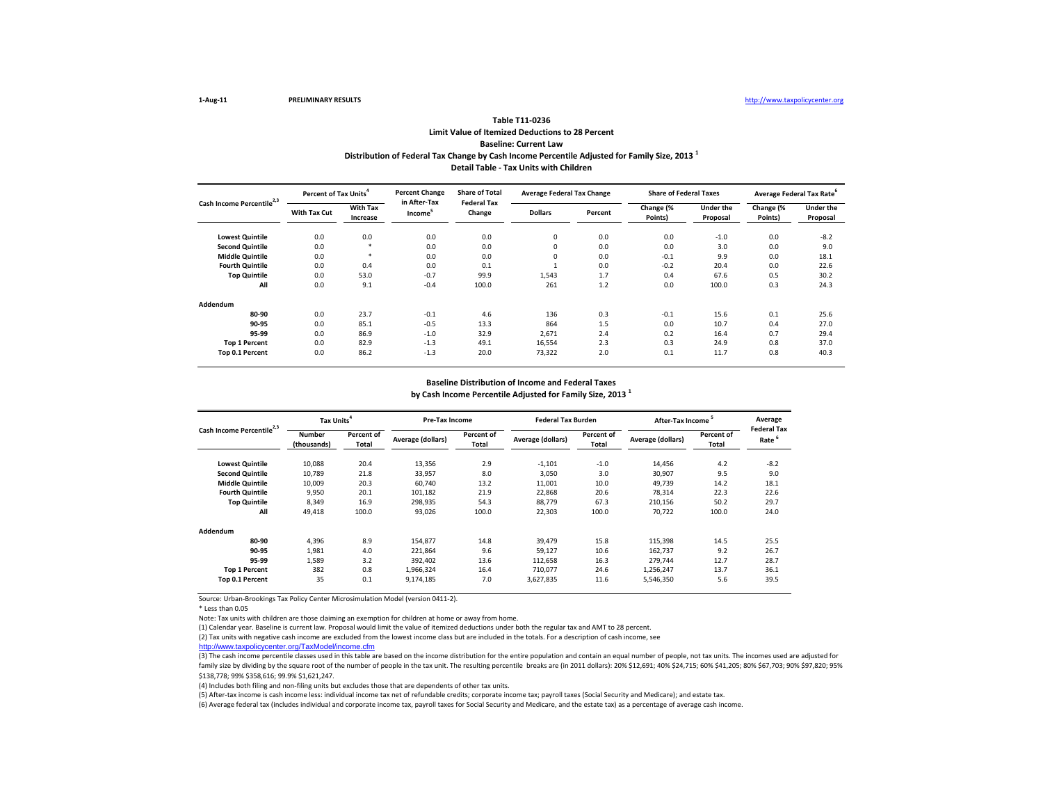\* Less than 0.05

Note: Tax units with children are those claiming an exemption for children at home or away from home.

(4) Includes both filing and non-filing units but excludes those that are dependents of other tax units.

(5) After-tax income is cash income less: individual income tax net of refundable credits; corporate income tax; payroll taxes (Social Security and Medicare); and estate tax. (6) Average federal tax (includes individual and corporate income tax, payroll taxes for Social Security and Medicare, and the estate tax) as a percentage of average cash income.

|                                       | Percent of Tax Units <sup>4</sup> |                             | <b>Percent Change</b>               | <b>Share of Total</b>        | <b>Average Federal Tax Change</b> |         | <b>Share of Federal Taxes</b> |                              | Average Federal Tax Rate <sup>6</sup> |                              |
|---------------------------------------|-----------------------------------|-----------------------------|-------------------------------------|------------------------------|-----------------------------------|---------|-------------------------------|------------------------------|---------------------------------------|------------------------------|
| Cash Income Percentile <sup>2,3</sup> | <b>With Tax Cut</b>               | <b>With Tax</b><br>Increase | in After-Tax<br>Income <sup>5</sup> | <b>Federal Tax</b><br>Change | <b>Dollars</b>                    | Percent | Change (%<br>Points)          | <b>Under the</b><br>Proposal | Change (%<br>Points)                  | <b>Under the</b><br>Proposal |
| <b>Lowest Quintile</b>                | 0.0                               | 0.0                         | 0.0                                 | 0.0                          | 0                                 | 0.0     | 0.0                           | $-1.0$                       | 0.0                                   | $-8.2$                       |
| <b>Second Quintile</b>                | 0.0                               |                             | 0.0                                 | 0.0                          | 0                                 | 0.0     | 0.0                           | 3.0                          | 0.0                                   | 9.0                          |
| <b>Middle Quintile</b>                | 0.0                               | $\ast$                      | 0.0                                 | 0.0                          | 0                                 | 0.0     | $-0.1$                        | 9.9                          | 0.0                                   | 18.1                         |
| <b>Fourth Quintile</b>                | 0.0                               | 0.4                         | 0.0                                 | 0.1                          |                                   | 0.0     | $-0.2$                        | 20.4                         | 0.0                                   | 22.6                         |
| <b>Top Quintile</b>                   | 0.0                               | 53.0                        | $-0.7$                              | 99.9                         | 1,543                             | 1.7     | 0.4                           | 67.6                         | 0.5                                   | 30.2                         |
| All                                   | 0.0                               | 9.1                         | $-0.4$                              | 100.0                        | 261                               | 1.2     | 0.0                           | 100.0                        | 0.3                                   | 24.3                         |
| <b>Addendum</b>                       |                                   |                             |                                     |                              |                                   |         |                               |                              |                                       |                              |
| 80-90                                 | 0.0                               | 23.7                        | $-0.1$                              | 4.6                          | 136                               | 0.3     | $-0.1$                        | 15.6                         | 0.1                                   | 25.6                         |
| 90-95                                 | 0.0                               | 85.1                        | $-0.5$                              | 13.3                         | 864                               | 1.5     | 0.0                           | 10.7                         | 0.4                                   | 27.0                         |
| 95-99                                 | 0.0                               | 86.9                        | $-1.0$                              | 32.9                         | 2,671                             | 2.4     | 0.2                           | 16.4                         | 0.7                                   | 29.4                         |
| <b>Top 1 Percent</b>                  | 0.0                               | 82.9                        | $-1.3$                              | 49.1                         | 16,554                            | 2.3     | 0.3                           | 24.9                         | 0.8                                   | 37.0                         |
| Top 0.1 Percent                       | 0.0                               | 86.2                        | $-1.3$                              | 20.0                         | 73,322                            | 2.0     | 0.1                           | 11.7                         | 0.8                                   | 40.3                         |

(1) Calendar year. Baseline is current law. Proposal would limit the value of itemized deductions under both the regular tax and AMT to 28 percent.

|                                       | Tax Units <sup>4</sup>       |                            | Pre-Tax Income    |                            | <b>Federal Tax Burden</b> |                            |                   | After-Tax Income <sup>5</sup> |                          |
|---------------------------------------|------------------------------|----------------------------|-------------------|----------------------------|---------------------------|----------------------------|-------------------|-------------------------------|--------------------------|
| Cash Income Percentile <sup>2,3</sup> | <b>Number</b><br>(thousands) | <b>Percent of</b><br>Total | Average (dollars) | Percent of<br><b>Total</b> | <b>Average (dollars)</b>  | <b>Percent of</b><br>Total | Average (dollars) | Percent of<br><b>Total</b>    | Federal 1<br><b>Rate</b> |
| <b>Lowest Quintile</b>                | 10,088                       | 20.4                       | 13,356            | 2.9                        | $-1,101$                  | $-1.0$                     | 14,456            | 4.2                           | $-8.2$                   |
| <b>Second Quintile</b>                | 10,789                       | 21.8                       | 33,957            | 8.0                        | 3,050                     | 3.0                        | 30,907            | 9.5                           | 9.0                      |
| <b>Middle Quintile</b>                | 10,009                       | 20.3                       | 60,740            | 13.2                       | 11,001                    | 10.0                       | 49,739            | 14.2                          | 18.1                     |
| <b>Fourth Quintile</b>                | 9,950                        | 20.1                       | 101,182           | 21.9                       | 22,868                    | 20.6                       | 78,314            | 22.3                          | 22.6                     |
| <b>Top Quintile</b>                   | 8,349                        | 16.9                       | 298,935           | 54.3                       | 88,779                    | 67.3                       | 210,156           | 50.2                          | 29.7                     |
| All                                   | 49,418                       | 100.0                      | 93,026            | 100.0                      | 22,303                    | 100.0                      | 70,722            | 100.0                         | 24.0                     |
| Addendum                              |                              |                            |                   |                            |                           |                            |                   |                               |                          |
| 80-90                                 | 4,396                        | 8.9                        | 154,877           | 14.8                       | 39,479                    | 15.8                       | 115,398           | 14.5                          | 25.5                     |
| 90-95                                 | 1,981                        | 4.0                        | 221,864           | 9.6                        | 59,127                    | 10.6                       | 162,737           | 9.2                           | 26.7                     |
| 95-99                                 | 1,589                        | 3.2                        | 392,402           | 13.6                       | 112,658                   | 16.3                       | 279,744           | 12.7                          | 28.7                     |
| <b>Top 1 Percent</b>                  | 382                          | 0.8                        | 1,966,324         | 16.4                       | 710,077                   | 24.6                       | 1,256,247         | 13.7                          | 36.1                     |
| Top 0.1 Percent                       | 35                           | 0.1                        | 9,174,185         | 7.0                        | 3,627,835                 | 11.6                       | 5,546,350         | 5.6                           | 39.5                     |

(2) Tax units with negative cash income are excluded from the lowest income class but are included in the totals. For a description of cash income, see

[http://www.taxpolicycente](http://www.taxpolicycenter.org/TaxModel/income.cfm)r.org/TaxModel/income.cfm

(3) The cash income percentile classes used in this table are based on the income distribution for the entire population and contain an equal number of people, not tax units. The incomes used are adjusted for family size by dividing by the square root of the number of people in the tax unit. The resulting percentile breaks are (in 2011 dollars): 20% \$12,691; 40% \$24,715; 60% \$41,205; 80% \$67,703; 90% \$97,820; 95% \$138,778; 99% \$358,616; 99.9% \$1,621,247.

| 5<br>ncome                 | Average<br><b>Federal Tax</b> |  |  |  |  |
|----------------------------|-------------------------------|--|--|--|--|
| <b>Percent of</b><br>Total | Rate <sup>6</sup>             |  |  |  |  |
| 4.2                        | -8.2                          |  |  |  |  |
| 9.5                        | 9.0                           |  |  |  |  |
| 14.2                       | 18.1                          |  |  |  |  |
| 22.3                       | 22.6                          |  |  |  |  |
| 50.2                       | 29.7                          |  |  |  |  |
| 100.0                      | 24.0                          |  |  |  |  |
|                            |                               |  |  |  |  |
| 14.5                       | 25.5                          |  |  |  |  |
| 9.2                        | 26.7                          |  |  |  |  |
| 12.7                       | 28.7                          |  |  |  |  |
| 13.7                       | 36.1                          |  |  |  |  |
| 5.6                        | 39.5                          |  |  |  |  |
|                            |                               |  |  |  |  |

### **by Cash Income Percentile Adjusted for Family Size, 2013 <sup>1</sup> Baseline Distribution of Income and Federal Taxes**

### **Table T11-0236 Limit Value of Itemized Deductions to 28 Percent Baseline: Current Law Distribution of Federal Tax Change by Cash Income Percentile Adjusted for Family Size, 2013 <sup>1</sup>**

# **Detail Table - Tax Units with Children**